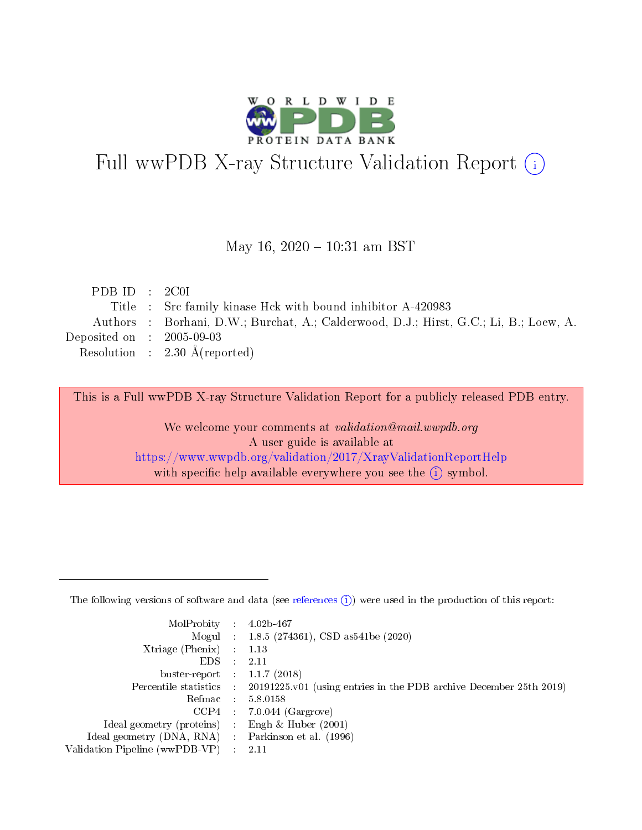

# Full wwPDB X-ray Structure Validation Report (i)

#### May 16,  $2020 - 10:31$  am BST

| PDBID : 2COI                |                                                                                       |
|-----------------------------|---------------------------------------------------------------------------------------|
|                             | Title : Src family kinase Hck with bound inhibitor A-420983                           |
|                             | Authors : Borhani, D.W.; Burchat, A.; Calderwood, D.J.; Hirst, G.C.; Li, B.; Loew, A. |
| Deposited on : $2005-09-03$ |                                                                                       |
|                             | Resolution : $2.30 \text{ Å}$ (reported)                                              |

This is a Full wwPDB X-ray Structure Validation Report for a publicly released PDB entry.

We welcome your comments at validation@mail.wwpdb.org A user guide is available at <https://www.wwpdb.org/validation/2017/XrayValidationReportHelp> with specific help available everywhere you see the  $(i)$  symbol.

The following versions of software and data (see [references](https://www.wwpdb.org/validation/2017/XrayValidationReportHelp#references)  $(1)$ ) were used in the production of this report:

| MolProbity :                   |               | $4.02b - 467$                                                               |
|--------------------------------|---------------|-----------------------------------------------------------------------------|
|                                |               | Mogul : $1.8.5$ (274361), CSD as 541be (2020)                               |
| $X$ triage (Phenix) :          |               | 1.13                                                                        |
| EDS.                           |               | 2.11                                                                        |
| buster-report : $1.1.7$ (2018) |               |                                                                             |
| Percentile statistics :        |               | $20191225 \text{v}01$ (using entries in the PDB archive December 25th 2019) |
| Refmac :                       |               | 5.8.0158                                                                    |
| $CCP4$ :                       |               | $7.0.044$ (Gargrove)                                                        |
| Ideal geometry (proteins) :    |               | Engh $\&$ Huber (2001)                                                      |
| Ideal geometry (DNA, RNA) :    |               | Parkinson et al. (1996)                                                     |
| Validation Pipeline (wwPDB-VP) | $\mathcal{L}$ | 2.11                                                                        |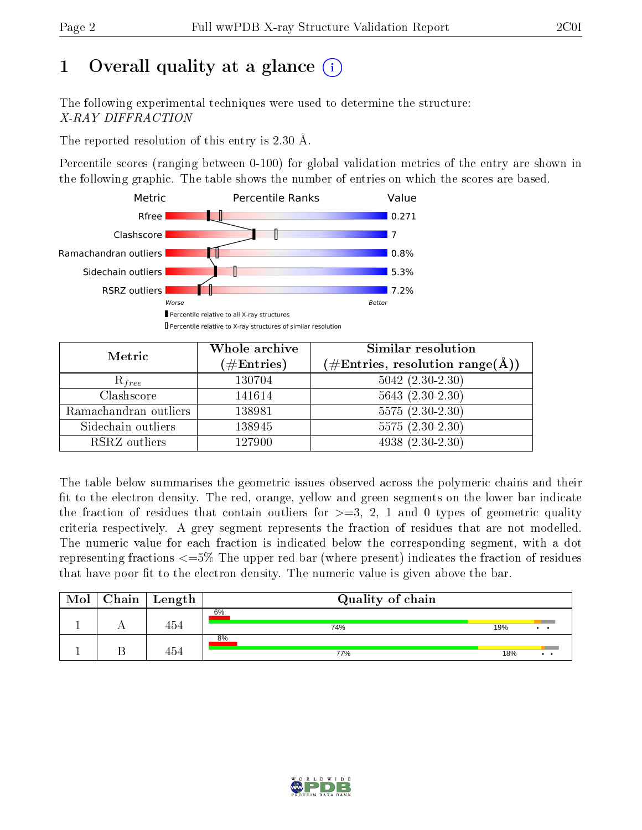# 1 [O](https://www.wwpdb.org/validation/2017/XrayValidationReportHelp#overall_quality)verall quality at a glance  $(i)$

The following experimental techniques were used to determine the structure: X-RAY DIFFRACTION

The reported resolution of this entry is 2.30 Å.

Percentile scores (ranging between 0-100) for global validation metrics of the entry are shown in the following graphic. The table shows the number of entries on which the scores are based.



| Metric                | Whole archive<br>$(\#\text{Entries})$ | Similar resolution<br>$(\#\text{Entries},\,\text{resolution}\,\,\text{range}(\textup{\AA}))$ |  |  |
|-----------------------|---------------------------------------|----------------------------------------------------------------------------------------------|--|--|
| $R_{free}$            | 130704                                | $5042$ $(2.30-2.30)$                                                                         |  |  |
| Clashscore            | 141614                                | $5643(2.30-2.30)$                                                                            |  |  |
| Ramachandran outliers | 138981                                | $5575(2.30-2.30)$                                                                            |  |  |
| Sidechain outliers    | 138945                                | $5575(2.30-2.30)$                                                                            |  |  |
| RSRZ outliers         | 127900                                | $4938(2.30-2.30)$                                                                            |  |  |

The table below summarises the geometric issues observed across the polymeric chains and their fit to the electron density. The red, orange, yellow and green segments on the lower bar indicate the fraction of residues that contain outliers for  $>=3, 2, 1$  and 0 types of geometric quality criteria respectively. A grey segment represents the fraction of residues that are not modelled. The numeric value for each fraction is indicated below the corresponding segment, with a dot representing fractions  $\epsilon=5\%$  The upper red bar (where present) indicates the fraction of residues that have poor fit to the electron density. The numeric value is given above the bar.

| Mol | $Chain \  Length$ | Quality of chain |     |                 |
|-----|-------------------|------------------|-----|-----------------|
|     | 454               | 6%<br>74%        | 19% | $\cdot$ $\cdot$ |
|     | 454               | 8%<br>77%        | 18% | $\cdot$ $\cdot$ |

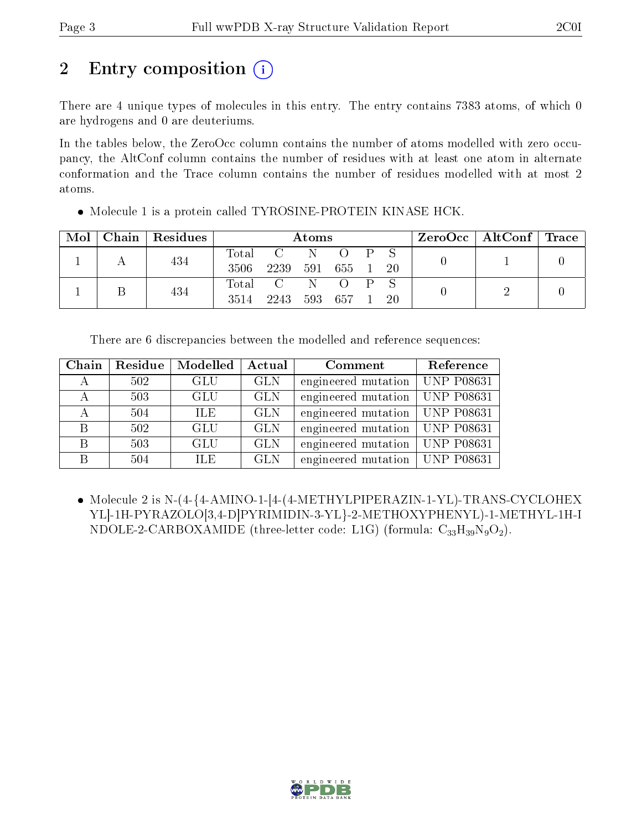# 2 Entry composition  $\left( \cdot \right)$

There are 4 unique types of molecules in this entry. The entry contains 7383 atoms, of which 0 are hydrogens and 0 are deuteriums.

In the tables below, the ZeroOcc column contains the number of atoms modelled with zero occupancy, the AltConf column contains the number of residues with at least one atom in alternate conformation and the Trace column contains the number of residues modelled with at most 2 atoms.

| Mol |  | $\Gamma$ Chain   Residues |       | Atoms       |  |           |  | $\text{ZeroOcc} \mid \text{AltConf} \mid \text{Trace} \mid$ |  |  |
|-----|--|---------------------------|-------|-------------|--|-----------|--|-------------------------------------------------------------|--|--|
|     |  | 434                       | Total | $C = N$     |  |           |  | $P-S$                                                       |  |  |
|     |  |                           | 3506  | 2239        |  | 591 655 1 |  | -20                                                         |  |  |
|     |  | 434                       |       | Total C N O |  |           |  |                                                             |  |  |
|     |  |                           | 3514  | 2243        |  | 593 657   |  | 20                                                          |  |  |

• Molecule 1 is a protein called TYROSINE-PROTEIN KINASE HCK.

|  | There are 6 discrepancies between the modelled and reference sequences: |  |  |  |  |  |
|--|-------------------------------------------------------------------------|--|--|--|--|--|
|--|-------------------------------------------------------------------------|--|--|--|--|--|

| Chain | Residue | Modelled   | Actual     | Comment                          | Reference |
|-------|---------|------------|------------|----------------------------------|-----------|
|       | 502     | <b>GLU</b> | <b>GLN</b> | engineered mutation   UNP P08631 |           |
|       | 503     | <b>GLU</b> | <b>GLN</b> | engineered mutation   UNP P08631 |           |
|       | 504     | ILE.       | <b>GLN</b> | engineered mutation   UNP P08631 |           |
| B     | 502     | <b>GLU</b> | <b>GLN</b> | engineered mutation   UNP P08631 |           |
| B     | 503     | GLU        | <b>GLN</b> | engineered mutation   UNP P08631 |           |
| В     | 504     | ILE.       | <b>GLN</b> | engineered mutation   UNP P08631 |           |

 Molecule 2 is N-(4-{4-AMINO-1-[4-(4-METHYLPIPERAZIN-1-YL)-TRANS-CYCLOHEX YL]-1H-PYRAZOLO[3,4-D]PYRIMIDIN-3-YL}-2-METHOXYPHENYL)-1-METHYL-1H-I NDOLE-2-CARBOXAMIDE (three-letter code: L1G) (formula:  $C_{33}H_{39}N_9O_2$ ).

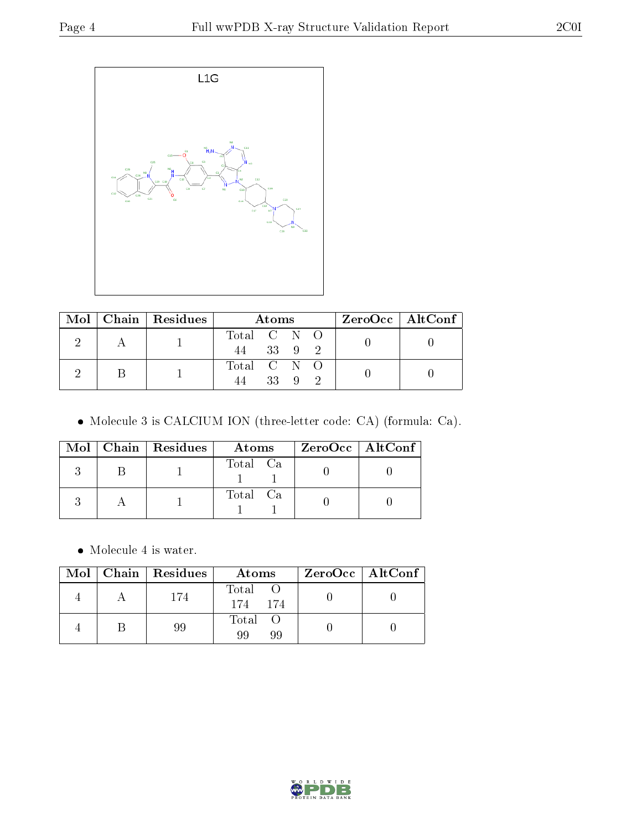

|  | Mol   Chain   Residues | Atoms                       | $ZeroOcc \mid AltConf \mid$ |
|--|------------------------|-----------------------------|-----------------------------|
|  |                        | Total C N O<br>33 9 2<br>44 |                             |
|  |                        | Total C N O<br>33 9 2       |                             |

Molecule 3 is CALCIUM ION (three-letter code: CA) (formula: Ca).

|  | Mol   Chain   Residues<br>Atoms |          | ZeroOcc   AltConf |
|--|---------------------------------|----------|-------------------|
|  |                                 | Total Ca |                   |
|  |                                 | Total Ca |                   |

 $\bullet\,$  Molecule 4 is water.

|  | Mol   Chain   Residues | Atoms               | ZeroOcc   AltConf |  |
|--|------------------------|---------------------|-------------------|--|
|  | 174                    | Total O<br>174 174  |                   |  |
|  | 99                     | Total O<br>99<br>99 |                   |  |

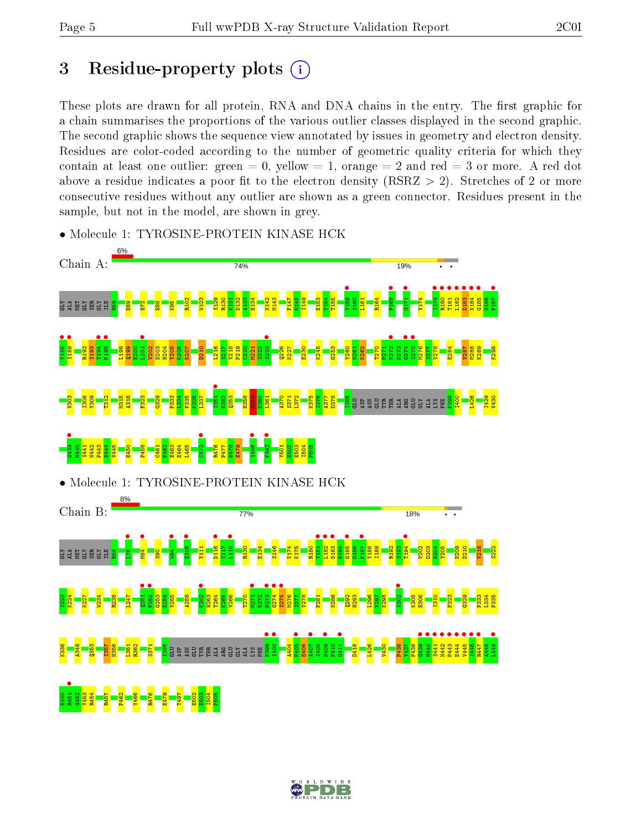# 3 Residue-property plots  $(i)$

These plots are drawn for all protein, RNA and DNA chains in the entry. The first graphic for a chain summarises the proportions of the various outlier classes displayed in the second graphic. The second graphic shows the sequence view annotated by issues in geometry and electron density. Residues are color-coded according to the number of geometric quality criteria for which they contain at least one outlier: green  $= 0$ , yellow  $= 1$ , orange  $= 2$  and red  $= 3$  or more. A red dot above a residue indicates a poor fit to the electron density (RSRZ  $> 2$ ). Stretches of 2 or more consecutive residues without any outlier are shown as a green connector. Residues present in the sample, but not in the model, are shown in grey.



• Molecule 1: TYROSINE-PROTEIN KINASE HCK

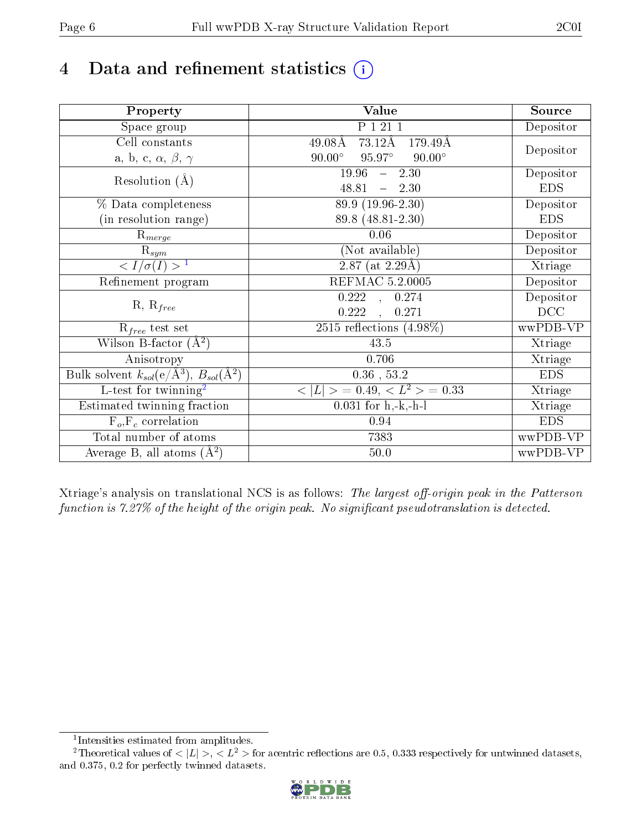# 4 Data and refinement statistics  $(i)$

| Property                                                      | Value                                           | Source     |
|---------------------------------------------------------------|-------------------------------------------------|------------|
| Space group                                                   | P 1 21 1                                        | Depositor  |
| Cell constants                                                | 73.12Å<br>$49.08\text{\AA}$<br>179.49Å          |            |
| a, b, c, $\alpha$ , $\beta$ , $\gamma$                        | $90.00^\circ$<br>$95.97^\circ$<br>$90.00^\circ$ | Depositor  |
| Resolution $(A)$                                              | 19.96<br>$-2.30$                                | Depositor  |
|                                                               | 48.81<br>$-2.30$                                | <b>EDS</b> |
| % Data completeness                                           | 89.9 (19.96-2.30)                               | Depositor  |
| (in resolution range)                                         | 89.8 (48.81-2.30)                               | <b>EDS</b> |
| $R_{merge}$                                                   | 0.06                                            | Depositor  |
| $\mathrm{R}_{sym}$                                            | (Not available)                                 | Depositor  |
| $\langle I/\sigma(I) \rangle^{-1}$                            | $\overline{2.87}$ (at 2.29Å)                    | Xtriage    |
| Refinement program                                            | <b>REFMAC 5.2.0005</b>                          | Depositor  |
|                                                               | 0.222, ,<br>0.274                               | Depositor  |
| $R, R_{free}$                                                 | 0.222<br>0.271                                  | DCC        |
| $R_{free}$ test set                                           | 2515 reflections $(4.98\%)$                     | wwPDB-VP   |
| Wilson B-factor $(A^2)$                                       | 43.5                                            | Xtriage    |
| Anisotropy                                                    | 0.706                                           | Xtriage    |
| Bulk solvent $k_{sol}(e/\text{\AA}^3), B_{sol}(\text{\AA}^2)$ | $0.36\,$ , $53.2\,$                             | <b>EDS</b> |
| L-test for twinning <sup>2</sup>                              | $< L >$ = 0.49, $< L2$ > = 0.33                 | Xtriage    |
| Estimated twinning fraction                                   | $0.031$ for h,-k,-h-l                           | Xtriage    |
| $F_o, F_c$ correlation                                        | 0.94                                            | <b>EDS</b> |
| Total number of atoms                                         | 7383                                            | wwPDB-VP   |
| Average B, all atoms $(A^2)$                                  | 50.0                                            | wwPDB-VP   |

Xtriage's analysis on translational NCS is as follows: The largest off-origin peak in the Patterson function is  $7.27\%$  of the height of the origin peak. No significant pseudotranslation is detected.

<sup>&</sup>lt;sup>2</sup>Theoretical values of  $\langle |L| \rangle$ ,  $\langle L^2 \rangle$  for acentric reflections are 0.5, 0.333 respectively for untwinned datasets, and 0.375, 0.2 for perfectly twinned datasets.



<span id="page-5-1"></span><span id="page-5-0"></span><sup>1</sup> Intensities estimated from amplitudes.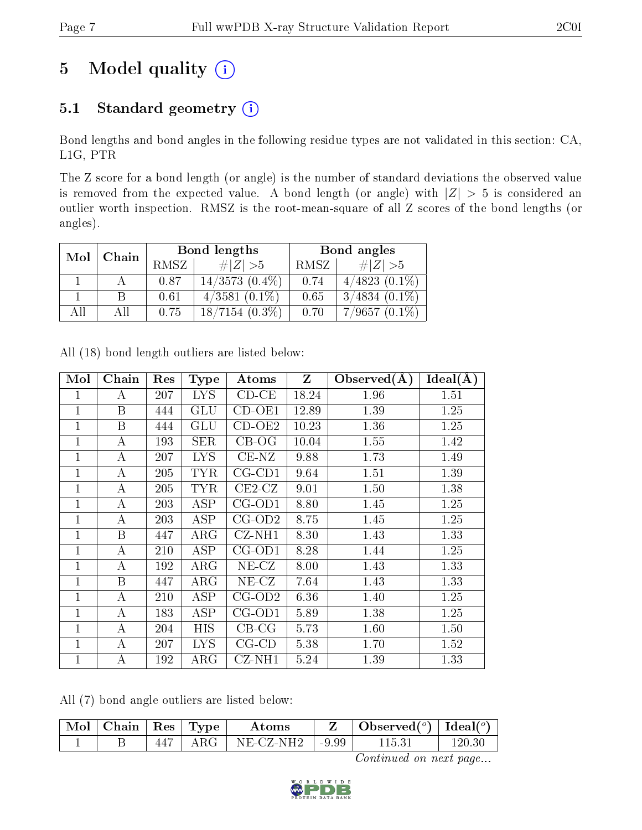# 5 Model quality  $(i)$

# 5.1 Standard geometry (i)

Bond lengths and bond angles in the following residue types are not validated in this section: CA, L1G, PTR

The Z score for a bond length (or angle) is the number of standard deviations the observed value is removed from the expected value. A bond length (or angle) with  $|Z| > 5$  is considered an outlier worth inspection. RMSZ is the root-mean-square of all Z scores of the bond lengths (or angles).

| Mol   |     |      | Bond lengths        | Bond angles |                 |  |
|-------|-----|------|---------------------|-------------|-----------------|--|
| Chain |     | RMSZ | # $ Z  > 5$         | RMSZ        | # $ Z  > 5$     |  |
|       |     | 0.87 | $14/3573$ $(0.4\%)$ | 0.74        | $4/4823(0.1\%)$ |  |
|       |     | 0.61 | $4/3581(0.1\%)$     | 0.65        | $3/4834(0.1\%)$ |  |
| All   | Аll | 0.75 | $18/7154(0.3\%)$    | 0.70        | $7/9657(0.1\%)$ |  |

|  | All (18) bond length outliers are listed below: |  |  |  |
|--|-------------------------------------------------|--|--|--|
|--|-------------------------------------------------|--|--|--|

| Mol          | Chain            | Res | <b>Type</b> | Atoms        | Z     | Observed(A) | Ideal(A) |
|--------------|------------------|-----|-------------|--------------|-------|-------------|----------|
| 1            | А                | 207 | <b>LYS</b>  | $CD-CE$      | 18.24 | 1.96        | 1.51     |
| 1            | $\boldsymbol{B}$ | 444 | GLU         | $CD-OE1$     | 12.89 | 1.39        | 1.25     |
| 1            | $\boldsymbol{B}$ | 444 | GLU         | $CD-OE2$     | 10.23 | 1.36        | 1.25     |
| 1            | А                | 193 | <b>SER</b>  | $CB-OG$      | 10.04 | 1.55        | 1.42     |
| 1            | А                | 207 | <b>LYS</b>  | $CE-NZ$      | 9.88  | 1.73        | 1.49     |
| $\mathbf 1$  | А                | 205 | <b>TYR</b>  | $CG$ - $CD1$ | 9.64  | 1.51        | 1.39     |
| $\mathbf 1$  | А                | 205 | <b>TYR</b>  | $CE2$ -CZ    | 9.01  | 1.50        | 1.38     |
| $\mathbf 1$  | A                | 203 | ASP         | $CG-OD1$     | 8.80  | 1.45        | 1.25     |
| $\mathbf 1$  | A                | 203 | ASP         | $CG-OD2$     | 8.75  | 1.45        | 1.25     |
| 1            | B                | 447 | $\rm{ARG}$  | $CZ-NH1$     | 8.30  | 1.43        | 1.33     |
| $\mathbf{1}$ | А                | 210 | ASP         | $CG-OD1$     | 8.28  | 1.44        | 1.25     |
| 1            | А                | 192 | $\rm{ARG}$  | $NE- CZ$     | 8.00  | 1.43        | 1.33     |
| $\mathbf 1$  | B                | 447 | $\rm{ARG}$  | $NE- CZ$     | 7.64  | 1.43        | 1.33     |
| $\mathbf{1}$ | $\boldsymbol{A}$ | 210 | ASP         | $CG-OD2$     | 6.36  | 1.40        | 1.25     |
| 1            | $\boldsymbol{A}$ | 183 | <b>ASP</b>  | $CG-OD1$     | 5.89  | 1.38        | 1.25     |
| $\mathbf{1}$ | $\boldsymbol{A}$ | 204 | HIS         | $CB-CG$      | 5.73  | 1.60        | 1.50     |
| 1            | A                | 207 | <b>LYS</b>  | $CG-CD$      | 5.38  | 1.70        | 1.52     |
| 1            | А                | 192 | ${\rm ARG}$ | $CZ-NH1$     | 5.24  | 1.39        | 1.33     |

All (7) bond angle outliers are listed below:

| Mol   Chain | $\pm$ Res $\pm$ Type $\pm$ | Atoms               | Observed $(^\circ)$   Ideal $(^\circ)$ |            |
|-------------|----------------------------|---------------------|----------------------------------------|------------|
|             | $\rm{ARG}^{-1}$            | $NE-CZ-NH2$   -9.99 | 115.31                                 | $120.30\,$ |

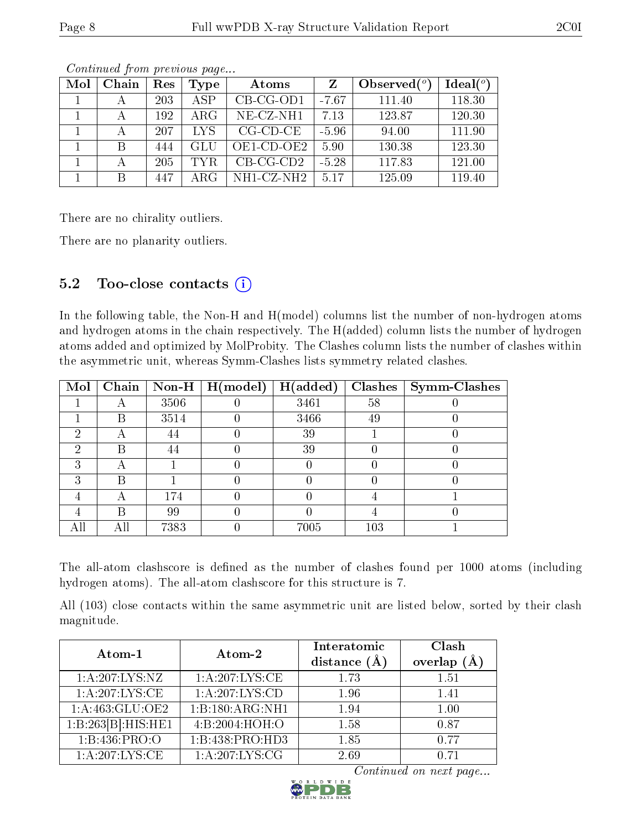| Mol | Chain | Res | Type       | Atoms        | Z       | Observed $(°)$ | Ideal $(°)$ |
|-----|-------|-----|------------|--------------|---------|----------------|-------------|
|     |       | 203 | <b>ASP</b> | $CB-CG-OD1$  | $-7.67$ | 111.40         | 118.30      |
|     |       | 192 | $\rm{ARG}$ | $NE$ -CZ-NH1 | 7.13    | 123.87         | 120.30      |
|     |       | 207 | LYS        | $CG-CD-CE$   | $-5.96$ | 94.00          | 111.90      |
|     | B     | 444 | GLU        | OE1-CD-OE2   | 5.90    | 130.38         | 123.30      |
|     |       | 205 | TYR.       | $CB-CG-CD2$  | $-5.28$ | 117.83         | 121.00      |
|     |       | 447 | ARG        | NH1-CZ-NH2   | 5.17    | 125.09         | 119.40      |

There are no chirality outliers.

There are no planarity outliers.

### 5.2 Too-close contacts  $\overline{()}$

In the following table, the Non-H and H(model) columns list the number of non-hydrogen atoms and hydrogen atoms in the chain respectively. The H(added) column lists the number of hydrogen atoms added and optimized by MolProbity. The Clashes column lists the number of clashes within the asymmetric unit, whereas Symm-Clashes lists symmetry related clashes.

| Mol | Chain |      | Non-H $\mid$ H(model) | H(added) |     | $Clashes$   Symm-Clashes |
|-----|-------|------|-----------------------|----------|-----|--------------------------|
|     |       | 3506 |                       | 3461     | 58  |                          |
|     | В     | 3514 |                       | 3466     | 49  |                          |
| റ   | A     | 44   |                       | 39       |     |                          |
| റ   | В     | 44   |                       | 39       |     |                          |
| ച   | А     |      |                       |          |     |                          |
|     | R     |      |                       |          |     |                          |
|     |       | 174  |                       |          |     |                          |
|     | Н     | 99   |                       |          |     |                          |
|     |       | 7383 |                       | 7005     | 103 |                          |

The all-atom clashscore is defined as the number of clashes found per 1000 atoms (including hydrogen atoms). The all-atom clashscore for this structure is 7.

All (103) close contacts within the same asymmetric unit are listed below, sorted by their clash magnitude.

| Atom-1             | Atom-2             | Interatomic<br>distance $(\AA)$ | Clash<br>overlap $(A)$ |
|--------------------|--------------------|---------------------------------|------------------------|
| 1: A:207:LYS:NZ    | 1: A:207: LYS: CE  | 1.73                            | 1.51                   |
| 1: A:207:LYS:CE    | 1: A: 207: LYS: CD | 1.96                            | 1.41                   |
| 1:A:463:GLU:OE2    | 1:B:180:ARG:NH1    | 1.94                            | 1.00                   |
| 1:B:263[B]:HIS:HE1 | 4:B:2004:HOH:O     | 1.58                            | 0.87                   |
| 1:B:436:PRO:O      | 1:B:438:PRO:HD3    | 1.85                            | 0.77                   |
| 1: A:207:LYS:CE    | 1:A:207:LYS:CG     | 2.69                            | 0.71                   |

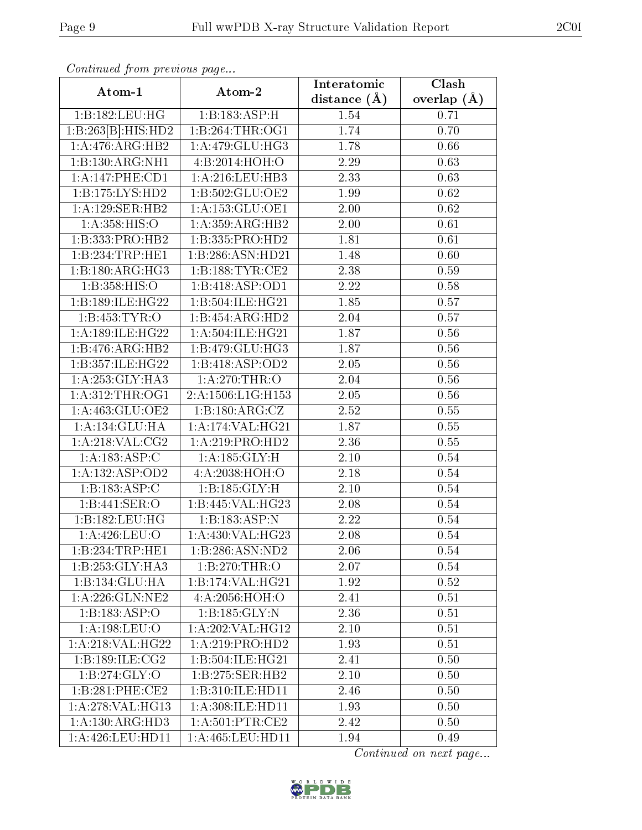| contentava promo provisão pago |                              | Interatomic       | $\overline{\text{Clash}}$ |
|--------------------------------|------------------------------|-------------------|---------------------------|
| Atom-1                         | Atom-2                       | distance $(A)$    | overlap $(\AA)$           |
| 1:B:182:LEU:HG                 | 1:B:183:ASP:H                | 1.54              | 0.71                      |
| 1:B:263[B]:HIS:HD2             | 1:B:264:THR:OG1              | 1.74              | 0.70                      |
| 1:A:476:ARG:HB2                | 1:A:479:GLU:HG3              | 1.78              | 0.66                      |
| 1:B:130:ARG:NH1                | 4:B:2014:HOH:O               | 2.29              | 0.63                      |
| 1: A:147: PHE: CD1             | 1: A:216:LEU:HB3             | 2.33              | 0.63                      |
| 1:B:175:LYS:HD2                | 1:B:502:GLU:OE2              | 1.99              | 0.62                      |
| 1:A:129:SER:HB2                | 1: A: 153: GLU: OE1          | 2.00              | 0.62                      |
| 1: A: 358: HIS: O              | 1:A:359:ARG:HB2              | 2.00              | 0.61                      |
| 1:B:333:PRO:HB2                | 1:B:335:PRO:HD2              | 1.81              | 0.61                      |
| 1:B:234:TRP:HE1                | 1:B:286:ASN:HD21             | 1.48              | 0.60                      |
| 1:B:180:ARG:HG3                | 1:B:188:TYR:CE2              | 2.38              | 0.59                      |
| 1: B: 358: HIS: O              | 1:B:418:ASP:OD1              | $\overline{2.22}$ | 0.58                      |
| 1:B:189:ILE:HG22               | 1:B:504:ILE:HG21             | 1.85              | 0.57                      |
| 1: B: 453: TYR: O              | 1:B:454:ARG:HD2              | 2.04              | 0.57                      |
| 1:A:189:ILE:HG22               | 1:A:504:ILE:HG21             | 1.87              | 0.56                      |
| 1:B:476:ARG:HB2                | 1:B:479:GLU:HG3              | 1.87              | 0.56                      |
| 1:B:357:ILE:HG22               | 1:B:418:ASP:OD2              | 2.05              | 0.56                      |
| 1:A:253:GLY:HA3                | 1:A:270:THR:O                | 2.04              | 0.56                      |
| 1: A:312:THR:OG1               | 2:A:1506:L1G:H153            | $2.05\,$          | 0.56                      |
| 1:A:463:GLU:OE2                | 1:B:180:ARG:CZ               | 2.52              | 0.55                      |
| 1:A:134:GLU:HA                 | 1:A:174:VAL:HG21             | 1.87              | 0.55                      |
| 1: A:218: VAL: CG2             | 1:A:219:PRO:HD2              | 2.36              | 0.55                      |
| $1:A:183:A\overline{SP:C}$     | 1: A: 185: GLY: H            | 2.10              | 0.54                      |
| 1: A: 132: ASP: OD2            | 4:A:2038:HOH:O               | 2.18              | 0.54                      |
| 1:B:183:ASP:C                  | 1:B:185:GLY:H                | 2.10              | 0.54                      |
| 1:B:441:SER:O                  | 1:B:445:VAL:HG23             | 2.08              | 0.54                      |
| 1:B:182:LEU:HG                 | 1:B:183:ASP:N                | $\overline{2}.22$ | 0.54                      |
| 1:A:426:LEU:O                  | 1:A:430:VAL:HG23             | 2.08              | 0.54                      |
| 1:B:234:TRP:HE1                | 1:B:286:ASN:ND2              | 2.06              | 0.54                      |
| 1:B:253:GLY:HA3                | 1:B:270:THR:O                | 2.07              | 0.54                      |
| 1:B:134:GLU:HA                 | 1:B:174:VAL:HG21             | 1.92              | 0.52                      |
| 1: A:226: GLN:NE2              | 4:A:2056:HOH:O               | 2.41              | 0.51                      |
| 1:B:183:ASP:O                  | 1:B:185:GLY:N                | 2.36              | 0.51                      |
| 1: A: 198: LEU: O              | 1:A:202:VAL:HG12             | 2.10              | 0.51                      |
| 1:A:218:VAL:HG22               | 1:A:219:PRO:HD2              | 1.93              | 0.51                      |
| 1:B:189:ILE:CG2                | 1:B:504:ILE:HG21             | 2.41              | 0.50                      |
| 1:B:274:GLY:O                  | $1:B:275:SER:H\overline{B2}$ | 2.10              | 0.50                      |
| 1:B:281:PHE:CE2                | 1:B:310:ILE:HD11             | 2.46              | 0.50                      |
| 1:A:278:VAL:HG13               | 1:A:308:ILE:HD11             | 1.93              | 0.50                      |
| 1:A:130:ARG:HD3                | 1: A:501:PTR:CE2             | 2.42              | 0.50                      |
| 1:A:426:LEU:HD11               | 1:A:465:LEU:HD11             | 1.94              | 0.49                      |

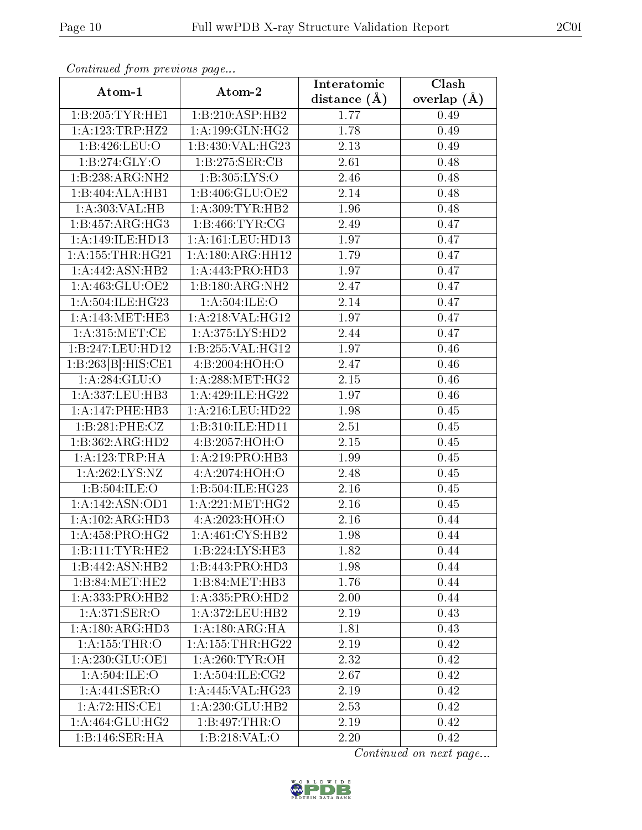| Commuca from previous page   |                      | Interatomic    | Clash           |
|------------------------------|----------------------|----------------|-----------------|
| Atom-1                       | Atom-2               | distance $(A)$ | overlap $(\AA)$ |
| 1:B:205:TYR:HE1              | 1:B:210:ASP:HB2      | 1.77           | 0.49            |
| 1:A:123:TRP:HZ2              | $1:$ A:199:GLN:HG2   | 1.78           | 0.49            |
| 1:B:426:LEU:O                | 1:B:430:VAL:HG23     | 2.13           | 0.49            |
| 1:B:274:GLY:O                | 1:B:275:SER:CB       | 2.61           | 0.48            |
| 1:B:238:ARG:NH2              | 1:B:305:LYS:O        | 2.46           | 0.48            |
| 1:B:404:ALA:HB1              | 1:B:406:GLU:OE2      | 2.14           | 0.48            |
| 1:A:303:VAL:HB               | 1: A:309: TYR: HB2   | 1.96           | 0.48            |
| 1:B:457:ARG:HG3              | 1:B:466:TYR:CG       | 2.49           | 0.47            |
| 1:A:149:ILE:HD13             | 1:A:161:LEU:HD13     | 1.97           | 0.47            |
| 1: A: 155: THR: HG21         | 1: A: 180: ARG: HH12 | 1.79           | 0.47            |
| 1:A:442:ASN:HB2              | 1:A:443:PRO:HD3      | 1.97           | 0.47            |
| 1:A:463:GLU:OE2              | 1:B:180:ARG:NH2      | 2.47           | 0.47            |
| 1:A:504:ILE:HG23             | 1: A:504: ILE: O     | 2.14           | 0.47            |
| 1: A:143:MET:HE3             | 1: A:218: VAL:HG12   | 1.97           | 0.47            |
| 1: A:315:MET:CE              | 1:A:375:LYS:HD2      | 2.44           | 0.47            |
| 1:B:247:LEU:HD12             | 1:B:255:VAL:HG12     | 1.97           | 0.46            |
| 1:B:263[B]:HIS:CE1           | 4:B:2004:HOH:O       | 2.47           | 0.46            |
| 1: A:284: GLU:O              | 1: A:288:MET:HG2     | 2.15           | 0.46            |
| 1:A:337:LEU:HB3              | 1:A:429:ILE:HG22     | 1.97           | 0.46            |
| 1:A:147:PHE:HB3              | 1: A:216:LEU:HD22    | 1.98           | 0.45            |
| 1:B:281:PHE:CZ               | 1:B:310:ILE:HD11     | 2.51           | 0.45            |
| 1:B:362:ARG:HD2              | 4:B:2057:HOH:O       | 2.15           | 0.45            |
| 1: A:123:TRP:HA              | 1:A:219:PRO:HB3      | 1.99           | 0.45            |
| 1:A:262:LYS:NZ               | 4:A:2074:HOH:O       | 2.48           | 0.45            |
| 1:B:504:ILE:O                | 1:B:504:ILE:HG23     | 2.16           | 0.45            |
| 1: A:142: ASN:OD1            | 1: A:221: MET:HG2    | $2.16\,$       | 0.45            |
| 1:A:102:ARG:HD3              | 4:A:2023:HOH:O       | 2.16           | 0.44            |
| $1:A:458:PRO:H\overline{G2}$ | 1:A:461:CYS:HB2      | 1.98           | 0.44            |
| 1:B:111:TYR:HE2              | 1:B:224:LYS:HE3      | 1.82           | 0.44            |
| 1:B:442:ASN:HB2              | 1:B:443:PRO:HD3      | 1.98           | 0.44            |
| 1:B:84:MET:HE2               | 1:B:84:MET:HB3       | 1.76           | 0.44            |
| $1:A:333:PRO:H\overline{B2}$ | 1:A:335:PRO:HD2      | 2.00           | 0.44            |
| 1: A:371: SER:O              | 1:A:372:LEU:HB2      | 2.19           | 0.43            |
| 1:A:180:ARG:HD3              | 1:A:180:ARG:HA       | 1.81           | 0.43            |
| 1:A:155:THR:O                | 1: A: 155: THR: HG22 | 2.19           | 0.42            |
| 1:A:230:GLU:OE1              | 1: A:260:TYR:OH      | 2.32           | 0.42            |
| 1: A:504: ILE: O             | 1: A:504: ILE: CG2   | 2.67           | 0.42            |
| 1:A:441:SER:O                | 1:A:445:VAL:HG23     | 2.19           | 0.42            |
| 1:A:72:HIS:CE1               | 1:A:230:GLU:HB2      | 2.53           | 0.42            |
| 1:A:464:GLU:HG2              | 1:B:497:THR:O        | 2.19           | 0.42            |
| 1:B:146:SER:HA               | 1: B:218:VAL:O       | 2.20           | 0.42            |

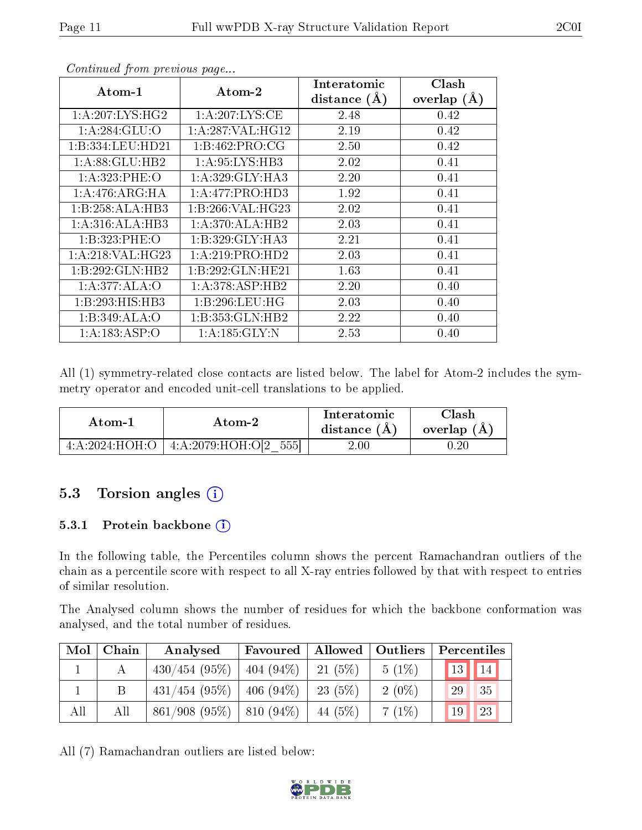| contentwear from procto de pagon. |                                       |                |                 |
|-----------------------------------|---------------------------------------|----------------|-----------------|
| $Atom-1$                          | $\boldsymbol{\mathrm{Atom}\text{-}2}$ | Interatomic    | Clash           |
|                                   |                                       | distance $(A)$ | overlap $(\AA)$ |
| 1: A:207: LYS:HG2                 | 1: A:207: LYS: CE                     | 2.48           | 0.42            |
| 1: A:284: GLU:O                   | 1:A:287:VAL:HG12                      | 2.19           | 0.42            |
| 1:B:334:LEU:HD21                  | 1: B: 462: PRO:CG                     | 2.50           | 0.42            |
| 1:A:88:GLU:HB2                    | 1:A:95:LYS:HB3                        | 2.02           | 0.41            |
| 1: A: 323: PHE: O                 | 1: A:329: GLY:HA3                     | 2.20           | 0.41            |
| 1: A:476: ARG: HA                 | 1:A:477:PRO:HD3                       | 1.92           | 0.41            |
| 1:B:258:ALA:HB3                   | 1:B:266:VAL:H G23                     | 2.02           | 0.41            |
| 1:A:316:ALA:HB3                   | 1:A:370:ALA:HB2                       | 2.03           | 0.41            |
| 1:B:323:PHE:O                     | 1: B: 329: GLY: HA3                   | 2.21           | 0.41            |
| 1: A:218: VAL:HG23                | 1:A:219:PRO:HD2                       | 2.03           | 0.41            |
| 1:B:292:GLN:HB2                   | 1:B:292:GLN:HE21                      | 1.63           | 0.41            |
| 1:A:377:ALA:O                     | 1:A:378:ASP:HB2                       | 2.20           | 0.40            |
| 1:B:293:HIS:HB3                   | 1:B:296:LEU:HG                        | 2.03           | 0.40            |
| 1:B:349:ALA:O                     | 1:B:353:GLN:HB2                       | 2.22           | 0.40            |
| 1: A: 183: ASP:O                  | 1:A:185:GLY:N                         | 2.53           | 0.40            |

All (1) symmetry-related close contacts are listed below. The label for Atom-2 includes the symmetry operator and encoded unit-cell translations to be applied.

| Atom-1                  | Atom-2                     | Interatomic<br>distance $(A)$ | Clash<br>overlap $(A)$ |
|-------------------------|----------------------------|-------------------------------|------------------------|
| $4:A:2024:HOH O \dashv$ | 5551<br>4: A:2079:HOH:O[2] | $2.00\,$                      |                        |

### 5.3 Torsion angles  $(i)$

#### 5.3.1 Protein backbone  $(i)$

In the following table, the Percentiles column shows the percent Ramachandran outliers of the chain as a percentile score with respect to all X-ray entries followed by that with respect to entries of similar resolution.

The Analysed column shows the number of residues for which the backbone conformation was analysed, and the total number of residues.

| Mol | Chain | Analysed        | Favoured     | Allowed   Outliers |          | Percentiles |           |
|-----|-------|-----------------|--------------|--------------------|----------|-------------|-----------|
|     |       | $430/454$ (95%) | $404(94\%)$  | 21(5%)             | $5(1\%)$ |             | 13     14 |
|     |       | $431/454$ (95%) | $ 406(94\%)$ | 23(5%)             | $2(0\%)$ | 29          | 35        |
| All | All   | 861/908(95%)    | $ 810(94\%)$ | 44 (5%)            | 7(1%)    | 19          | 23        |

All (7) Ramachandran outliers are listed below:

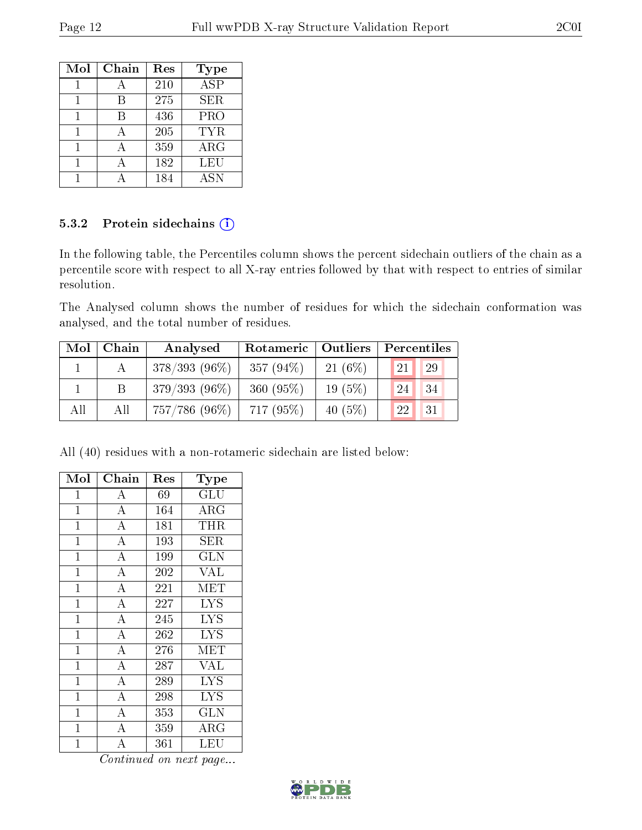| Mol | Chain | Res | Type                 |
|-----|-------|-----|----------------------|
|     |       | 210 | $\overline{\rm ASP}$ |
|     | В     | 275 | SER                  |
|     | B     | 436 | PRO                  |
|     |       | 205 | TYR                  |
|     |       | 359 | ARG                  |
|     |       | 182 | LEU                  |
|     |       | 184 | <b>ASN</b>           |

#### 5.3.2 Protein sidechains (i)

In the following table, the Percentiles column shows the percent sidechain outliers of the chain as a percentile score with respect to all X-ray entries followed by that with respect to entries of similar resolution.

The Analysed column shows the number of residues for which the sidechain conformation was analysed, and the total number of residues.

| Mol | Chain | Analysed         | Rotameric   Outliers | Percentiles |                                  |  |
|-----|-------|------------------|----------------------|-------------|----------------------------------|--|
|     |       | $378/393(96\%)$  | 357 $(94\%)$         | $21(6\%)$   | 29<br>$^{\prime}$ 21 $^{\prime}$ |  |
|     |       | $379/393(96\%)$  | 360 $(95%)$          | $19(5\%)$   | 34<br>24                         |  |
| All | All   | $757/786$ (96\%) | $717(95\%)$          | 40 $(5%)$   | 31<br>22                         |  |

All (40) residues with a non-rotameric sidechain are listed below:

| Mol            | Chain              | $\operatorname{Res}% \left( \mathcal{N}\right) \equiv\operatorname{Res}(\mathcal{N}_{0})\cap\mathcal{N}_{1}$ | Type                                |
|----------------|--------------------|--------------------------------------------------------------------------------------------------------------|-------------------------------------|
| 1              | А                  | 69                                                                                                           | GLU                                 |
| $\mathbf{1}$   | $\overline{A}$     | 164                                                                                                          | $\rm{ARG}$                          |
| $\overline{1}$ | $\overline{A}$     | 181                                                                                                          | THR                                 |
| $\overline{1}$ | $\overline{\rm A}$ | 193                                                                                                          | SER                                 |
| $\mathbf 1$    | $\bf{A}$           | 199                                                                                                          | <b>GLN</b>                          |
| $\mathbf 1$    | $\overline{\rm A}$ | 202                                                                                                          | <b>VAL</b>                          |
| $\mathbf{1}$   | $\overline{\rm A}$ | 221                                                                                                          | <b>MET</b>                          |
| $\mathbf{1}$   | $\overline{\rm A}$ | 227                                                                                                          | $\overline{\text{LYS}}$             |
| $\mathbf{1}$   | $\overline{\rm A}$ | 245                                                                                                          | <b>LYS</b>                          |
| $\mathbf{1}$   | $\overline{\rm A}$ | 262                                                                                                          | <b>LYS</b>                          |
| $\overline{1}$ | $\overline{A}$     | 276                                                                                                          | MET                                 |
| $\mathbf{1}$   | $\overline{A}$     | 287                                                                                                          | <b>VAL</b>                          |
| $\mathbf 1$    | $\overline{A}$     | 289                                                                                                          | $\overline{\mathrm{L} \mathrm{YS}}$ |
| $\overline{1}$ | $\overline{A}$     | 298                                                                                                          | $\rm \overline{L}YS$                |
| $\mathbf{1}$   | $\overline{A}$     | 353                                                                                                          | GLN                                 |
| $\overline{1}$ | $\overline{\rm A}$ | 359                                                                                                          | $\rm{ARG}$                          |
| 1              | А                  | 361                                                                                                          | LEU                                 |

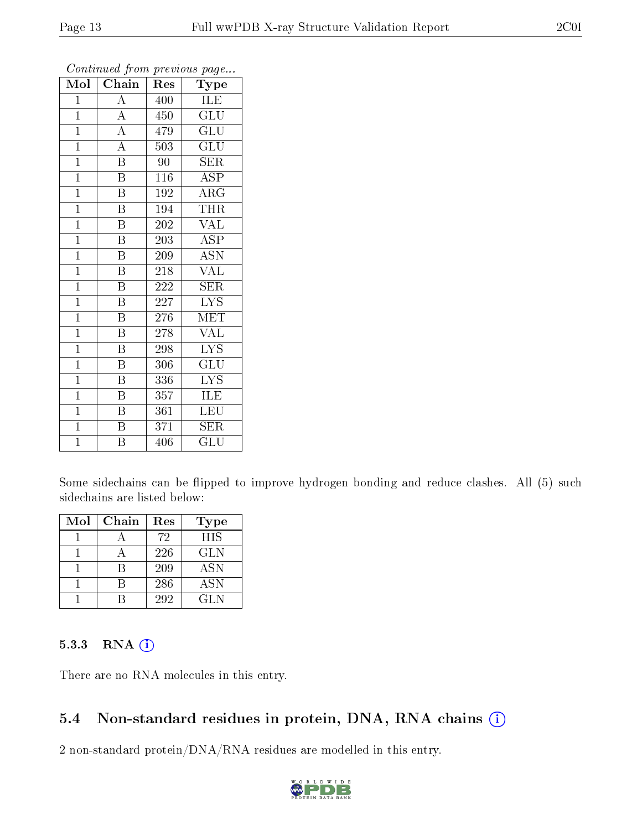| $\mathrm{Mo}\overline{\mathrm{I}}$ | $\overline{\text{Chain}}$ | Res | Type                    |
|------------------------------------|---------------------------|-----|-------------------------|
| $\mathbf 1$                        | $\rm A$                   | 400 | ILE                     |
| $\overline{1}$                     | $\overline{\rm A}$        | 450 | $\overline{{\rm GLU}}$  |
| $\overline{1}$                     | $\overline{A}$            | 479 | $\overline{{\rm GLU}}$  |
| $\overline{1}$                     | $\overline{A}$            | 503 | GLU                     |
| $\mathbf{1}$                       | $\overline{\mathrm{B}}$   | 90  | <b>SER</b>              |
| $\mathbf{1}$                       | B                         | 116 | ASP                     |
| $\mathbf{1}$                       | $\overline{\mathrm{B}}$   | 192 | ARG                     |
| $\overline{1}$                     | $\overline{\text{B}}$     | 194 | THR                     |
| $\overline{1}$                     | $\overline{\mathrm{B}}$   | 202 | <b>VAL</b>              |
| $\overline{1}$                     | $\overline{\mathrm{B}}$   | 203 | $\overline{\rm ASP}$    |
| $\overline{1}$                     | $\overline{\mathrm{B}}$   | 209 | <b>ASN</b>              |
| $\overline{1}$                     | $\overline{\mathrm{B}}$   | 218 | <b>VAL</b>              |
| $\overline{1}$                     | $\overline{\mathrm{B}}$   | 222 | SER                     |
| $\mathbf{1}$                       | $\boldsymbol{B}$          | 227 | <b>LYS</b>              |
| $\mathbf{1}$                       | $\overline{\text{B}}$     | 276 | MET                     |
| $\mathbf{1}$                       | $\boldsymbol{B}$          | 278 | <b>VAL</b>              |
| $\overline{1}$                     | $\overline{\text{B}}$     | 298 | $\overline{\text{LYS}}$ |
| $\mathbf{1}$                       | $\overline{\mathrm{B}}$   | 306 | $\overline{{\rm GLU}}$  |
| $\mathbf{1}$                       | $\overline{\mathrm{B}}$   | 336 | $\overline{\text{LYS}}$ |
| $\overline{1}$                     | $\overline{\mathrm{B}}$   | 357 | <b>ILE</b>              |
| $\overline{1}$                     | $\overline{\mathrm{B}}$   | 361 | $\overline{\text{LEU}}$ |
| $\overline{1}$                     | $\overline{\mathrm{B}}$   | 371 | <b>SER</b>              |
| $\mathbf{1}$                       | B                         | 406 | GLU                     |

Some sidechains can be flipped to improve hydrogen bonding and reduce clashes. All (5) such sidechains are listed below:

| Mol | Chain | Res | <b>Type</b> |
|-----|-------|-----|-------------|
|     |       | 72  | <b>HIS</b>  |
|     |       | 226 | <b>GLN</b>  |
|     |       | 209 | <b>ASN</b>  |
|     |       | 286 | <b>ASN</b>  |
|     |       | 292 | GLN.        |

#### 5.3.3 RNA (i)

There are no RNA molecules in this entry.

### 5.4 Non-standard residues in protein, DNA, RNA chains  $(i)$

2 non-standard protein/DNA/RNA residues are modelled in this entry.

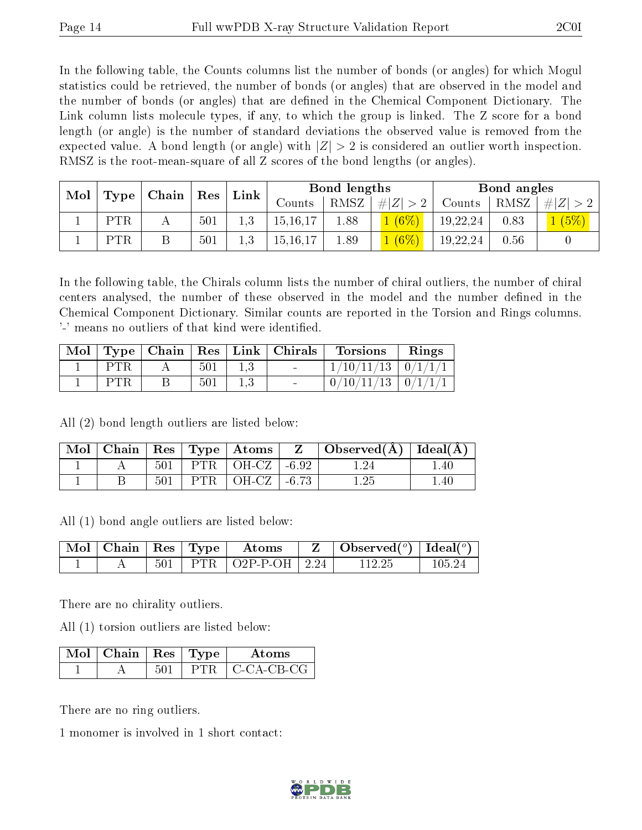In the following table, the Counts columns list the number of bonds (or angles) for which Mogul statistics could be retrieved, the number of bonds (or angles) that are observed in the model and the number of bonds (or angles) that are dened in the Chemical Component Dictionary. The Link column lists molecule types, if any, to which the group is linked. The Z score for a bond length (or angle) is the number of standard deviations the observed value is removed from the expected value. A bond length (or angle) with  $|Z| > 2$  is considered an outlier worth inspection. RMSZ is the root-mean-square of all Z scores of the bond lengths (or angles).

| Mol |     |                     | $\mid$ Res | Link | Bond lengths |      |             | Bond angles |      |             |
|-----|-----|---------------------|------------|------|--------------|------|-------------|-------------|------|-------------|
|     |     | $\top$ Type   Chain |            |      | Counts       | RMSZ | # $ Z  > 2$ | Counts      | RMSZ | # $ Z  > 2$ |
|     | PTR |                     | 501        | 1,3  | 15, 16, 17   | 1.88 | 1(6%)       | 19,22,24    | 0.83 | (5%         |
|     | PTR |                     | 501        | 1.3  | 15, 16, 17   | 1.89 | $1(6\%)$    | 19,22,24    | 0.56 |             |

In the following table, the Chirals column lists the number of chiral outliers, the number of chiral centers analysed, the number of these observed in the model and the number defined in the Chemical Component Dictionary. Similar counts are reported in the Torsion and Rings columns. '-' means no outliers of that kind were identified.

| $\text{Mol}$ |     |     | $\top$ Type   Chain   Res   Link   Chirals | <b>Torsions</b>          | Rings |
|--------------|-----|-----|--------------------------------------------|--------------------------|-------|
|              |     | 501 | $\sim$                                     | $1/10/11/13$   $0/1/1/1$ |       |
|              | PTR | 501 | $\sim$                                     | $0/10/11/13$   $0/1/1/1$ |       |

All (2) bond length outliers are listed below:

| $\text{Mol}$ |     |     | $\vert$ Chain $\vert$ Res $\vert$ Type $\vert$ Atoms $\vert$ | $\mid$ Observed( $\AA$ ) $\mid$ Ideal( $\AA$ ) $\mid$ |                |
|--------------|-----|-----|--------------------------------------------------------------|-------------------------------------------------------|----------------|
|              | 501 |     | PTR $\vert$ OH-CZ $\vert$ -6.92                              |                                                       | 40             |
|              | 501 | PTR | $\vert$ OH-CZ $\vert$ -6.73                                  |                                                       | $^{\circ}$ .40 |

All (1) bond angle outliers are listed below:

|  |  | $\mid$ Mol $\mid$ Chain $\mid$ Res $\mid$ Type $\mid$ Atoms | $\parallel$ Z $\parallel$ Observed( <sup>o</sup> ) $\parallel$ Ideal( <sup>o</sup> ) |        |
|--|--|-------------------------------------------------------------|--------------------------------------------------------------------------------------|--------|
|  |  | $501$   PTR   O2P-P-OH   2.24                               | 112.25                                                                               | 105 24 |

There are no chirality outliers.

All (1) torsion outliers are listed below:

| $\mathbb{N}$ ol   Chain   Res   Type |       | Atoms              |  |
|--------------------------------------|-------|--------------------|--|
|                                      | P'FR. | $\perp$ C-CA-CB-CG |  |

There are no ring outliers.

1 monomer is involved in 1 short contact:

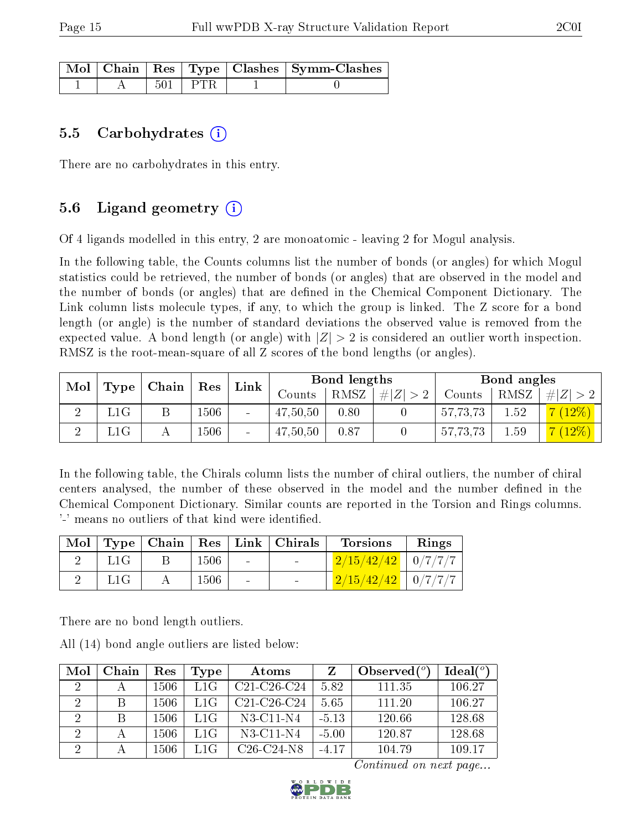|  |           | Mol   Chain   Res   Type   Clashes   Symm-Clashes |
|--|-----------|---------------------------------------------------|
|  | $501$ PTR |                                                   |

#### 5.5 Carbohydrates  $(i)$

There are no carbohydrates in this entry.

### 5.6 Ligand geometry  $(i)$

Of 4 ligands modelled in this entry, 2 are monoatomic - leaving 2 for Mogul analysis.

In the following table, the Counts columns list the number of bonds (or angles) for which Mogul statistics could be retrieved, the number of bonds (or angles) that are observed in the model and the number of bonds (or angles) that are defined in the Chemical Component Dictionary. The Link column lists molecule types, if any, to which the group is linked. The Z score for a bond length (or angle) is the number of standard deviations the observed value is removed from the expected value. A bond length (or angle) with  $|Z| > 2$  is considered an outlier worth inspection. RMSZ is the root-mean-square of all Z scores of the bond lengths (or angles).

| Mol |     | $\mid$ Type $\mid$ Chain $\mid$ Res |      | Link                         |          | Bond lengths |    |          | Bond angles |          |  |
|-----|-----|-------------------------------------|------|------------------------------|----------|--------------|----|----------|-------------|----------|--|
|     |     |                                     |      |                              | Counts   | $^+$ RMSZ.   | #Z | Counts   | RMSZ        | 4 Z  > 2 |  |
|     | L1G |                                     | 1506 | $\qquad \qquad \blacksquare$ | 47,50,50 | 0.80         |    | 57,73,73 | 1.52        | $(12\%)$ |  |
|     | L1G |                                     | 506  |                              | 47,50,50 | 0.87         |    | 57,73,73 | 1.59        | 7(12%)   |  |

In the following table, the Chirals column lists the number of chiral outliers, the number of chiral centers analysed, the number of these observed in the model and the number defined in the Chemical Component Dictionary. Similar counts are reported in the Torsion and Rings columns. '-' means no outliers of that kind were identified.

|     |      |                 | Mol   Type   Chain   Res   Link   Chirals | Torsions               | $\mathsf{Rings}$ |
|-----|------|-----------------|-------------------------------------------|------------------------|------------------|
| L1G | 1506 | <b>Contract</b> | $\sim 100$                                | $2/15/42/42$   0/7/7/7 |                  |
| L1G | 1506 | $\sim$ $-$      |                                           | $2/15/42/42$   0/7/7/7 |                  |

There are no bond length outliers.

All (14) bond angle outliers are listed below:

| Mol                         | Chain        | Res  | Type | Atoms         | Z       | Observed $(°)$ | Ideal $(°)$ |
|-----------------------------|--------------|------|------|---------------|---------|----------------|-------------|
| $\mathcal{D}_{\mathcal{A}}$ | А            | 1506 | L1G  | $C21-C26-C24$ | 5.82    | 111.35         | 106.27      |
| $\overline{2}$              | B            | 1506 | L1G  | $C21-C26-C24$ | 5.65    | 111.20         | 106.27      |
| $\mathcal{D}_{\mathcal{L}}$ | <sup>B</sup> | 1506 | L1G  | N3-C11-N4     | $-5.13$ | 120.66         | 128.68      |
| 2                           |              | 1506 | L1G  | N3-C11-N4     | $-5.00$ | 120.87         | 128.68      |
| $\Omega$                    |              | 1506 | L1G  | $C26-C24-N8$  | $-417$  | 104.79         | 109.17      |

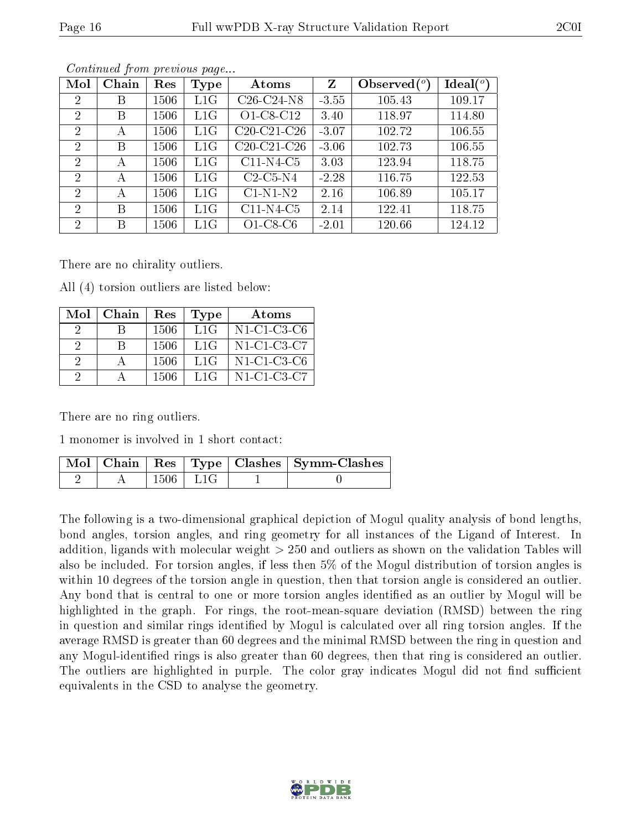| Mol            | Chain | Res  | Type | Atoms                                             | Z       | Observed $\binom{o}{c}$ | Ideal $(^\circ)$ |
|----------------|-------|------|------|---------------------------------------------------|---------|-------------------------|------------------|
| $\overline{2}$ | Β     | 1506 | L1G  | $C26-C24-N8$                                      | $-3.55$ | 105.43                  | 109.17           |
| 2              | Β     | 1506 | L1G  | O1-C8-C12                                         | 3.40    | 118.97                  | 114.80           |
| $\overline{2}$ | А     | 1506 | L1G  | C <sub>20</sub> -C <sub>21</sub> -C <sub>26</sub> | $-3.07$ | 102.72                  | 106.55           |
| $\overline{2}$ | B     | 1506 | L1G  | C <sub>20</sub> -C <sub>21</sub> -C <sub>26</sub> | $-3.06$ | 102.73                  | 106.55           |
| 2              | А     | 1506 | L1G  | $C11-N4-C5$                                       | 3.03    | 123.94                  | 118.75           |
| $\overline{2}$ | А     | 1506 | L1G  | $C2-C5-N4$                                        | $-2.28$ | 116.75                  | 122.53           |
| 2              | А     | 1506 | L1G  | $C1-N1-N2$                                        | 2.16    | 106.89                  | 105.17           |
| $\overline{2}$ | B     | 1506 | L1G  | $C11-N4-C5$                                       | 2.14    | 122.41                  | 118.75           |
| $\overline{2}$ | B     | 1506 | L1G  | $O1-C8-C6$                                        | $-2.01$ | 120.66                  | 124.12           |

There are no chirality outliers.

All (4) torsion outliers are listed below:

|          | $Mol$   Chain | Res   | Type | Atoms          |
|----------|---------------|-------|------|----------------|
| $\cdot$  |               | 1506  | L1G  | $N1$ -C1-C3-C6 |
| 2        | R             | -1506 | L1G  | N1-C1-C3-C7    |
| $\Omega$ |               | -1506 | L1G  | N1-C1-C3-C6    |
| 2        |               | 1506  | L1G  | N1-C1-C3-C7    |

There are no ring outliers.

1 monomer is involved in 1 short contact:

|  |                | Mol   Chain   Res   Type   Clashes   Symm-Clashes |
|--|----------------|---------------------------------------------------|
|  | $1506$   $L1G$ |                                                   |

The following is a two-dimensional graphical depiction of Mogul quality analysis of bond lengths, bond angles, torsion angles, and ring geometry for all instances of the Ligand of Interest. In addition, ligands with molecular weight > 250 and outliers as shown on the validation Tables will also be included. For torsion angles, if less then 5% of the Mogul distribution of torsion angles is within 10 degrees of the torsion angle in question, then that torsion angle is considered an outlier. Any bond that is central to one or more torsion angles identified as an outlier by Mogul will be highlighted in the graph. For rings, the root-mean-square deviation (RMSD) between the ring in question and similar rings identified by Mogul is calculated over all ring torsion angles. If the average RMSD is greater than 60 degrees and the minimal RMSD between the ring in question and any Mogul-identied rings is also greater than 60 degrees, then that ring is considered an outlier. The outliers are highlighted in purple. The color gray indicates Mogul did not find sufficient equivalents in the CSD to analyse the geometry.

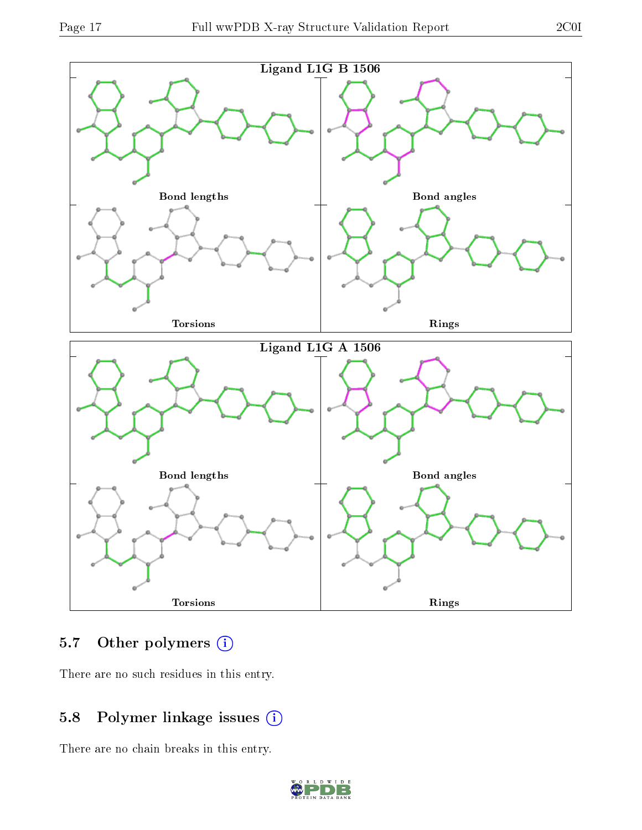

# 5.7 [O](https://www.wwpdb.org/validation/2017/XrayValidationReportHelp#nonstandard_residues_and_ligands)ther polymers (i)

There are no such residues in this entry.

# 5.8 Polymer linkage issues (i)

There are no chain breaks in this entry.

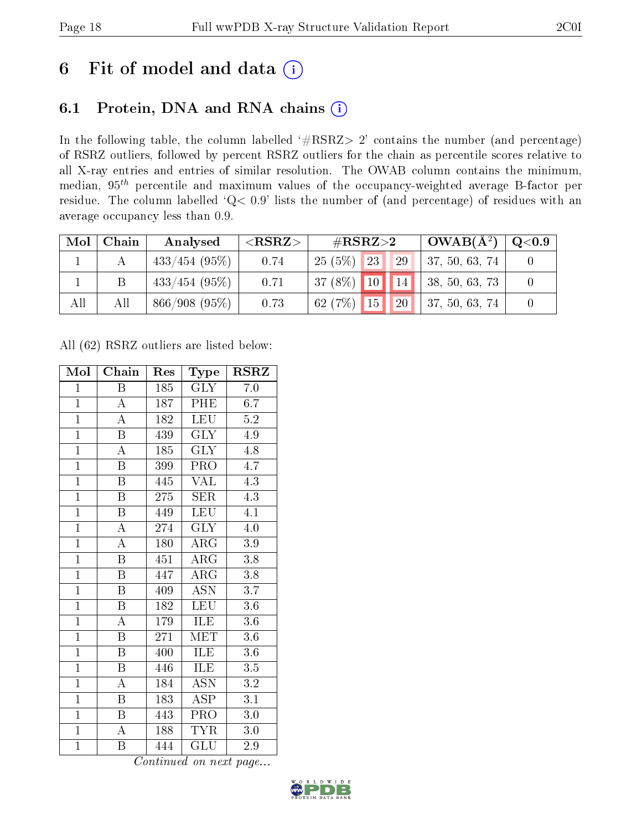# 6 Fit of model and data  $(i)$

# 6.1 Protein, DNA and RNA chains  $(i)$

In the following table, the column labelled  $#RSRZ> 2'$  contains the number (and percentage) of RSRZ outliers, followed by percent RSRZ outliers for the chain as percentile scores relative to all X-ray entries and entries of similar resolution. The OWAB column contains the minimum, median,  $95<sup>th</sup>$  percentile and maximum values of the occupancy-weighted average B-factor per residue. The column labelled ' $Q< 0.9$ ' lists the number of (and percentage) of residues with an average occupancy less than 0.9.

| Mol | Chain | Analysed        | ${ <\hspace{-1.5pt}{\mathrm{RSRZ}} \hspace{-1.5pt}>}$ | $\#\text{RSRZ}{>}2$ | $OWAB(A^2)$                  | $\rm{Q}\textcolor{black}{<}0.9$ |
|-----|-------|-----------------|-------------------------------------------------------|---------------------|------------------------------|---------------------------------|
|     |       | $433/454$ (95%) | 0.74                                                  | $25(5\%)$ 23<br>29  | 37, 50, 63, 74               |                                 |
|     |       | $433/454$ (95%) | 0.71                                                  | $37(8\%)$ 10 14     | $\vert 38, 50, 63, 73 \vert$ |                                 |
| All | All   | 866/908(95%)    | 0.73                                                  | $62(7%)$ 15 20      | 37, 50, 63, 74               |                                 |

All (62) RSRZ outliers are listed below:

| Mol            | Chain                   | Res | Type                      | <b>RSRZ</b>      |
|----------------|-------------------------|-----|---------------------------|------------------|
| $\mathbf{1}$   | $\, {\bf B}$            | 185 | $\rm GLY$                 | 7.0              |
| $\mathbf{1}$   | $\overline{A}$          | 187 | PHE                       | 6.7              |
| $\overline{1}$ | $\overline{\rm A}$      | 182 | LEU                       | $5.2\,$          |
| $\mathbf{1}$   | $\boldsymbol{B}$        | 439 | <b>GLY</b>                | 4.9              |
| $\overline{1}$ | $\overline{\rm A}$      | 185 | $\overline{\text{GLY}}$   | 4.8              |
| $\overline{1}$ | B                       | 399 | PRO                       | $4.\overline{7}$ |
| $\overline{1}$ | $\boldsymbol{B}$        | 445 | <b>VAL</b>                | 4.3              |
| $\overline{1}$ | $\boldsymbol{B}$        | 275 | SER                       | 4.3              |
| $\overline{1}$ | $\overline{\mathrm{B}}$ | 449 | <b>LEU</b>                | 4.1              |
| $\overline{1}$ | $\overline{\rm A}$      | 274 | $\overline{\text{GLY}}$   | $4.0\,$          |
| $\overline{1}$ | $\overline{\rm A}$      | 180 | $\rm{ARG}$                | $3.9\,$          |
| $\overline{1}$ | $\overline{\mathrm{B}}$ | 451 | $\overline{\rm{ARG}}$     | 3.8              |
| $\overline{1}$ | $\overline{B}$          | 447 | $\rm{ARG}$                | 3.8              |
| $\overline{1}$ | $\boldsymbol{B}$        | 409 | $\overline{\mathrm{ASN}}$ | $3.\overline{7}$ |
| $\overline{1}$ | $\overline{\mathrm{B}}$ | 182 | LEU                       | $\overline{3.6}$ |
| $\mathbf{1}$   | $\mathbf{A}$            | 179 | ILE                       | 3.6              |
| $\overline{1}$ | $\overline{\mathrm{B}}$ | 271 | <b>MET</b>                | $\overline{3.6}$ |
| $\overline{1}$ | Β                       | 400 | ILE                       | 3.6              |
| $\mathbf{1}$   | $\boldsymbol{B}$        | 446 | ILE                       | 3.5              |
| $\overline{1}$ | A                       | 184 | $\overline{\mathrm{ASN}}$ | 3.2              |
| $\mathbf{1}$   | $\overline{B}$          | 183 | <b>ASP</b>                | 3.1              |
| $\mathbf{1}$   | $\boldsymbol{B}$        | 443 | <b>PRO</b>                | $3.0\,$          |
| $\overline{1}$ | $\boldsymbol{A}$        | 188 | <b>TYR</b>                | $3.0\,$          |
| $\mathbf{1}$   | Β                       | 444 | GLU                       | $2.9\,$          |

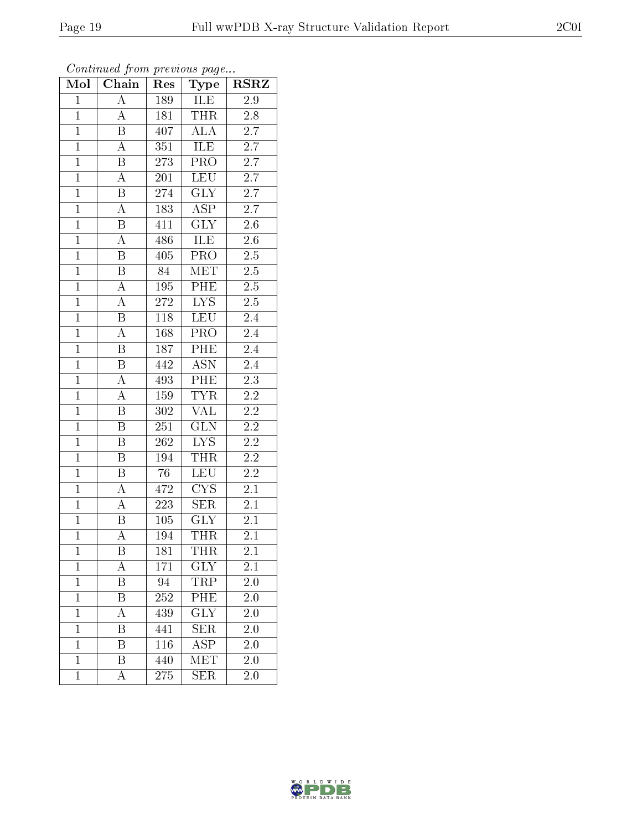| Mol            | $\boldsymbol{\mathsf{u}}$<br>Chain | Res              | $\mathbf{r}$<br>$\overline{\phantom{a}}$<br>Type | <b>RSRZ</b>      |
|----------------|------------------------------------|------------------|--------------------------------------------------|------------------|
| $\mathbf{1}$   | $\overline{\rm A}$                 | 189              | ILE                                              | 2.9              |
| $\overline{1}$ | $\boldsymbol{A}$                   | 181              | <b>THR</b>                                       | 2.8              |
| $\overline{1}$ | $\overline{\mathrm{B}}$            | 407              | <b>ALA</b>                                       | $\overline{2.7}$ |
| $\overline{1}$ | $\boldsymbol{A}$                   | 351              | ILE                                              | $\overline{2.7}$ |
| $\overline{1}$ | $\overline{\mathrm{B}}$            | 273              | PRO                                              | 2.7              |
| $\overline{1}$ | A                                  | 201              | <b>LEU</b>                                       | 2.7              |
| $\overline{1}$ | B                                  | $27\overline{4}$ | $\overline{\text{GLY}}$                          | $\overline{2.7}$ |
| $\overline{1}$ | $\overline{\rm A}$                 | 183              | $\overline{\text{ASP}}$                          | $\overline{2.7}$ |
| $\mathbf{1}$   | $\, {\bf B}$                       | 411              | <b>GLY</b>                                       | $2.6\,$          |
| $\overline{1}$ | $\overline{\rm A}$                 | 486              | <b>ILE</b>                                       | $2.6\,$          |
| $\overline{1}$ | $\, {\bf B}$                       | 405              | PRO                                              | $2.5\,$          |
| $\overline{1}$ | $\overline{\mathrm{B}}$            | 84               | MET                                              | $\overline{2.5}$ |
| $\overline{1}$ | $\overline{A}$                     | 195              | $\overline{\rm{PHE}}$                            | 2.5              |
| $\mathbf{1}$   | $\overline{A}$                     | 272              | ${\rm LYS}$                                      | $2.5\,$          |
| $\overline{1}$ | $\overline{\mathrm{B}}$            | 118              | <b>LEU</b>                                       | 2.4              |
| $\overline{1}$ | $\overline{\rm A}$                 | 168              | PRO                                              | $\overline{2.4}$ |
| $\overline{1}$ | $\overline{\mathrm{B}}$            | 187              | PHE                                              | $\overline{2.4}$ |
| $\mathbf{1}$   | $\boldsymbol{B}$                   | 442              | <b>ASN</b>                                       | 2.4              |
| $\overline{1}$ | A                                  | 493              | PHE                                              | $\overline{2.3}$ |
| $\overline{1}$ | $\overline{\rm A}$                 | 159              | <b>TYR</b>                                       | $2\overline{.2}$ |
| $\overline{1}$ | $\boldsymbol{B}$                   | 302              | $\overline{\text{VAL}}$                          | $\overline{2.2}$ |
| $\overline{1}$ | $\overline{\mathrm{B}}$            | 251              | GLN                                              | $\overline{2.2}$ |
| $\overline{1}$ | $\boldsymbol{B}$                   | 262              | $\overline{LYS}$                                 | $\overline{2.2}$ |
| $\overline{1}$ | $\boldsymbol{B}$                   | $19\overline{4}$ | THR                                              | $2.2\,$          |
| $\overline{1}$ | $\boldsymbol{B}$                   | 76               | <b>LEU</b>                                       | $2.2\,$          |
| $\overline{1}$ | $\boldsymbol{A}$                   | 472              | <b>CYS</b>                                       | 2.1              |
| $\overline{1}$ | А                                  | 223              | $\overline{\text{SER}}$                          | 2.1              |
| $\mathbf{1}$   | $\boldsymbol{B}$                   | 105              | <b>GLY</b>                                       | 2.1              |
| $\overline{1}$ | $\overline{\rm A}$                 | 194              | THR                                              | 2.1              |
| $\mathbf 1$    | Β                                  | 181              | THR                                              | $2.1\,$          |
| $\mathbf{1}$   | А                                  | 171              | $\overline{\text{GLY}}$                          | 2.1              |
| $\mathbf{1}$   | B                                  | 94               | TRP                                              | 2.0              |
| $\mathbf 1$    | Β                                  | 252              | PHE                                              | $2.0\,$          |
| $\mathbf{1}$   | А                                  | 439              | $\overline{\text{GLY}}$                          | 2.0              |
| $\mathbf{1}$   | Β                                  | 441              | <b>SER</b>                                       | 2.0              |
| $\mathbf{1}$   | $\overline{\mathrm{B}}$            | <b>116</b>       | $\overline{\text{ASP}}$                          | 2.0              |
| $\mathbf{1}$   | Β                                  | 440              | MET                                              | 2.0              |
| $\mathbf{1}$   | А                                  | $27\overline{5}$ | $\overline{\text{SER}}$                          | 2.0              |

Continued from previous page...

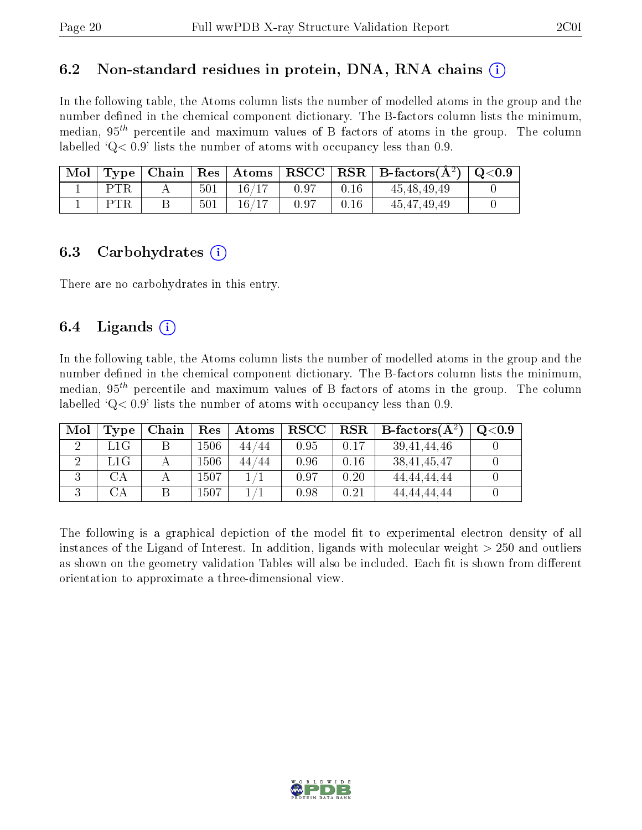### 6.2 Non-standard residues in protein, DNA, RNA chains  $(i)$

In the following table, the Atoms column lists the number of modelled atoms in the group and the number defined in the chemical component dictionary. The B-factors column lists the minimum, median,  $95<sup>th</sup>$  percentile and maximum values of B factors of atoms in the group. The column labelled  $^{\circ}Q<0.9'$  lists the number of atoms with occupancy less than 0.9.

| $\mid$ Mol $\mid$ |     |     |       |      |      | $\vert$ Type   Chain   Res   Atoms   RSCC   RSR   B-factors $(A^2)$   Q<0.9 |  |
|-------------------|-----|-----|-------|------|------|-----------------------------------------------------------------------------|--|
|                   | PTR | 501 | 16/17 | 0.97 | 0.16 | 45, 48, 49, 49                                                              |  |
|                   |     | 501 | 16/17 | 0.97 | 0.16 | 45, 47, 49, 49                                                              |  |

#### 6.3 Carbohydrates  $(i)$

There are no carbohydrates in this entry.

### 6.4 Ligands  $(i)$

In the following table, the Atoms column lists the number of modelled atoms in the group and the number defined in the chemical component dictionary. The B-factors column lists the minimum, median,  $95<sup>th</sup>$  percentile and maximum values of B factors of atoms in the group. The column labelled  $Q< 0.9$ ' lists the number of atoms with occupancy less than 0.9.

| Mol | Type         | Chain | Res      | Atoms   | $_{\rm RSCC}$ |      | $\mathbf{RSR} \mid \mathbf{B}\text{-factors}(\mathbf{A}^2)$ | Q <sub>0.9</sub> |
|-----|--------------|-------|----------|---------|---------------|------|-------------------------------------------------------------|------------------|
|     | L1G          |       | $1506\,$ | 44/44   | 0.95          | 0.17 | 39, 41, 44, 46                                              |                  |
|     | $_{\rm L1G}$ |       | $1506\,$ | 44 / 44 | 0.96          | 0.16 | 38, 41, 45, 47                                              |                  |
|     | CA           |       | 1507     |         | 0.97          | 0.20 | 44.44.44.44                                                 |                  |
|     | СA           |       | $1507\,$ |         | $0.98\,$      | 0.21 | 44, 44, 44, 44                                              |                  |

The following is a graphical depiction of the model fit to experimental electron density of all instances of the Ligand of Interest. In addition, ligands with molecular weight > 250 and outliers as shown on the geometry validation Tables will also be included. Each fit is shown from different orientation to approximate a three-dimensional view.

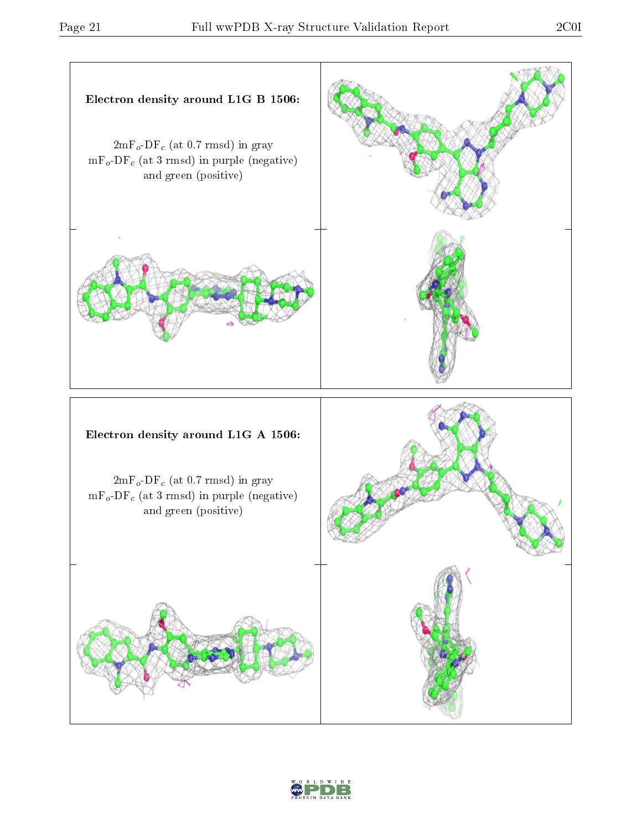